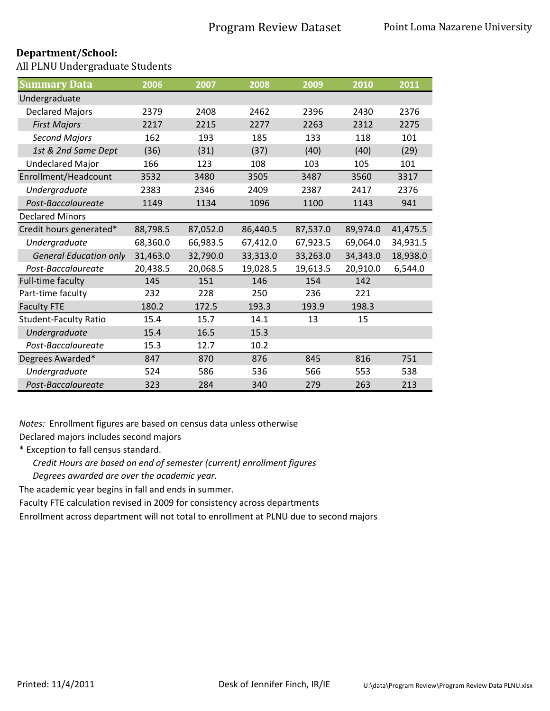All PLNU Undergraduate Students

| <b>Summary Data</b>           | 2006     | 2007     | 2008     | 2009     | 2010     | 2011     |
|-------------------------------|----------|----------|----------|----------|----------|----------|
| Undergraduate                 |          |          |          |          |          |          |
| <b>Declared Majors</b>        | 2379     | 2408     | 2462     | 2396     | 2430     | 2376     |
| <b>First Majors</b>           | 2217     | 2215     | 2277     | 2263     | 2312     | 2275     |
| <b>Second Majors</b>          | 162      | 193      | 185      | 133      | 118      | 101      |
| 1st & 2nd Same Dept           | (36)     | (31)     | (37)     | (40)     | (40)     | (29)     |
| <b>Undeclared Major</b>       | 166      | 123      | 108      | 103      | 105      | 101      |
| Enrollment/Headcount          | 3532     | 3480     | 3505     | 3487     | 3560     | 3317     |
| Undergraduate                 | 2383     | 2346     | 2409     | 2387     | 2417     | 2376     |
| Post-Baccalaureate            | 1149     | 1134     | 1096     | 1100     | 1143     | 941      |
| <b>Declared Minors</b>        |          |          |          |          |          |          |
| Credit hours generated*       | 88,798.5 | 87,052.0 | 86,440.5 | 87,537.0 | 89,974.0 | 41,475.5 |
| Undergraduate                 | 68,360.0 | 66,983.5 | 67,412.0 | 67,923.5 | 69,064.0 | 34,931.5 |
| <b>General Education only</b> | 31,463.0 | 32,790.0 | 33,313.0 | 33,263.0 | 34,343.0 | 18,938.0 |
| Post-Baccalaureate            | 20,438.5 | 20,068.5 | 19,028.5 | 19,613.5 | 20,910.0 | 6,544.0  |
| Full-time faculty             | 145      | 151      | 146      | 154      | 142      |          |
| Part-time faculty             | 232      | 228      | 250      | 236      | 221      |          |
| <b>Faculty FTE</b>            | 180.2    | 172.5    | 193.3    | 193.9    | 198.3    |          |
| <b>Student-Faculty Ratio</b>  | 15.4     | 15.7     | 14.1     | 13       | 15       |          |
| Undergraduate                 | 15.4     | 16.5     | 15.3     |          |          |          |
| Post-Baccalaureate            | 15.3     | 12.7     | 10.2     |          |          |          |
| Degrees Awarded*              | 847      | 870      | 876      | 845      | 816      | 751      |
| Undergraduate                 | 524      | 586      | 536      | 566      | 553      | 538      |
| Post-Baccalaureate            | 323      | 284      | 340      | 279      | 263      | 213      |

*Notes:* Enrollment figures are based on census data unless otherwise

Declared majors includes second majors

\* Exception to fall census standard.

*Credit Hours are based on end of semester (current) enrollment figures*

*Degrees awarded are over the academic year.* 

The academic year begins in fall and ends in summer.

Faculty FTE calculation revised in 2009 for consistency across departments

Enrollment across department will not total to enrollment at PLNU due to second majors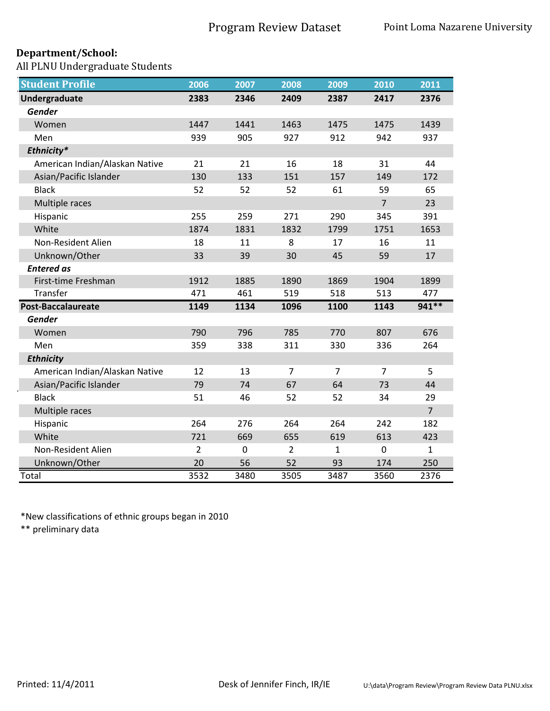All PLNU Undergraduate Students

| <b>Student Profile</b>         | 2006           | 2007        | 2008           | 2009        | 2010           | 2011           |
|--------------------------------|----------------|-------------|----------------|-------------|----------------|----------------|
| Undergraduate                  | 2383           | 2346        | 2409           | 2387        | 2417           | 2376           |
| <b>Gender</b>                  |                |             |                |             |                |                |
| Women                          | 1447           | 1441        | 1463           | 1475        | 1475           | 1439           |
| Men                            | 939            | 905         | 927            | 912         | 942            | 937            |
| Ethnicity*                     |                |             |                |             |                |                |
| American Indian/Alaskan Native | 21             | 21          | 16             | 18          | 31             | 44             |
| Asian/Pacific Islander         | 130            | 133         | 151            | 157         | 149            | 172            |
| <b>Black</b>                   | 52             | 52          | 52             | 61          | 59             | 65             |
| Multiple races                 |                |             |                |             | $\overline{7}$ | 23             |
| Hispanic                       | 255            | 259         | 271            | 290         | 345            | 391            |
| White                          | 1874           | 1831        | 1832           | 1799        | 1751           | 1653           |
| Non-Resident Alien             | 18             | 11          | 8              | 17          | 16             | 11             |
| Unknown/Other                  | 33             | 39          | 30             | 45          | 59             | 17             |
| <b>Entered as</b>              |                |             |                |             |                |                |
| First-time Freshman            | 1912           | 1885        | 1890           | 1869        | 1904           | 1899           |
| Transfer                       | 471            | 461         | 519            | 518         | 513            | 477            |
| Post-Baccalaureate             | 1149           | 1134        | 1096           | 1100        | 1143           | 941 **         |
| <b>Gender</b>                  |                |             |                |             |                |                |
| Women                          | 790            | 796         | 785            | 770         | 807            | 676            |
| Men                            | 359            | 338         | 311            | 330         | 336            | 264            |
| <b>Ethnicity</b>               |                |             |                |             |                |                |
| American Indian/Alaskan Native | 12             | 13          | 7              | 7           | 7              | 5              |
| Asian/Pacific Islander         | 79             | 74          | 67             | 64          | 73             | 44             |
| <b>Black</b>                   | 51             | 46          | 52             | 52          | 34             | 29             |
| Multiple races                 |                |             |                |             |                | $\overline{7}$ |
| Hispanic                       | 264            | 276         | 264            | 264         | 242            | 182            |
| White                          | 721            | 669         | 655            | 619         | 613            | 423            |
| Non-Resident Alien             | $\overline{2}$ | $\mathbf 0$ | $\overline{2}$ | $\mathbf 1$ | $\mathbf 0$    | $\mathbf{1}$   |
| Unknown/Other                  | 20             | 56          | 52             | 93          | 174            | 250            |
| Total                          | 3532           | 3480        | 3505           | 3487        | 3560           | 2376           |

\*New classifications of ethnic groups began in 2010

\*\* preliminary data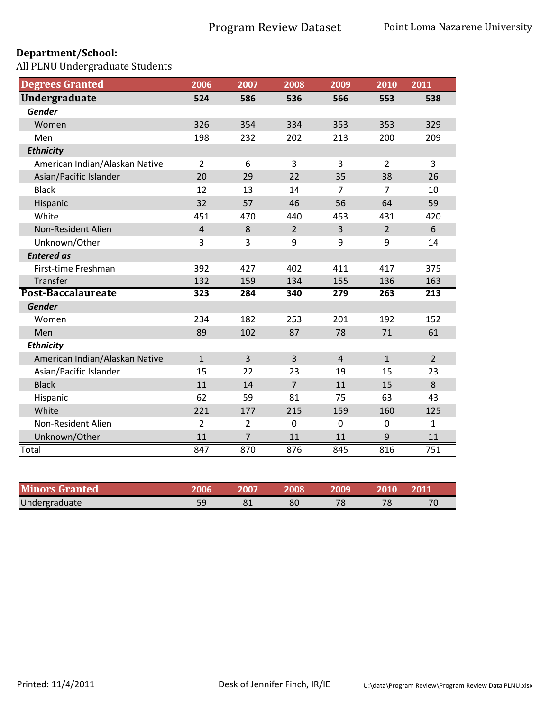All PLNU Undergraduate Students

| <b>Degrees Granted</b>         | 2006           | 2007           | 2008           | 2009           | 2010           | 2011           |
|--------------------------------|----------------|----------------|----------------|----------------|----------------|----------------|
| <b>Undergraduate</b>           | 524            | 586            | 536            | 566            | 553            | 538            |
| Gender                         |                |                |                |                |                |                |
| Women                          | 326            | 354            | 334            | 353            | 353            | 329            |
| Men                            | 198            | 232            | 202            | 213            | 200            | 209            |
| <b>Ethnicity</b>               |                |                |                |                |                |                |
| American Indian/Alaskan Native | $\overline{2}$ | 6              | 3              | 3              | $\overline{2}$ | 3              |
| Asian/Pacific Islander         | 20             | 29             | 22             | 35             | 38             | 26             |
| <b>Black</b>                   | 12             | 13             | 14             | $\overline{7}$ | 7              | 10             |
| Hispanic                       | 32             | 57             | 46             | 56             | 64             | 59             |
| White                          | 451            | 470            | 440            | 453            | 431            | 420            |
| Non-Resident Alien             | $\overline{4}$ | $\,8\,$        | $\overline{2}$ | 3              | $\overline{2}$ | 6              |
| Unknown/Other                  | 3              | 3              | 9              | 9              | 9              | 14             |
| <b>Entered as</b>              |                |                |                |                |                |                |
| First-time Freshman            | 392            | 427            | 402            | 411            | 417            | 375            |
| Transfer                       | 132            | 159            | 134            | 155            | 136            | 163            |
| Post-Baccalaureate             | 323            | 284            | 340            | 279            | 263            | 213            |
| <b>Gender</b>                  |                |                |                |                |                |                |
| Women                          | 234            | 182            | 253            | 201            | 192            | 152            |
| Men                            | 89             | 102            | 87             | 78             | 71             | 61             |
| <b>Ethnicity</b>               |                |                |                |                |                |                |
| American Indian/Alaskan Native | $\mathbf{1}$   | $\overline{3}$ | 3              | $\overline{4}$ | $\mathbf{1}$   | $\overline{2}$ |
| Asian/Pacific Islander         | 15             | 22             | 23             | 19             | 15             | 23             |
| <b>Black</b>                   | 11             | 14             | $\overline{7}$ | 11             | 15             | $\bf 8$        |
| Hispanic                       | 62             | 59             | 81             | 75             | 63             | 43             |
| White                          | 221            | 177            | 215            | 159            | 160            | 125            |
| Non-Resident Alien             | 2              | $\overline{2}$ | $\mathbf 0$    | $\mathbf 0$    | $\mathbf 0$    | $\mathbf{1}$   |
| Unknown/Other                  | 11             | $\overline{7}$ | 11             | 11             | 9              | 11             |
| Total                          | 847            | 870            | 876            | 845            | 816            | 751            |
|                                |                |                |                |                |                |                |

| <b>Minors Granted</b> | כמחנ | 008 | <b>2009</b> | 101 (    | 2011 |
|-----------------------|------|-----|-------------|----------|------|
| Undergraduate         |      | 80  |             | $\neg c$ | 7(   |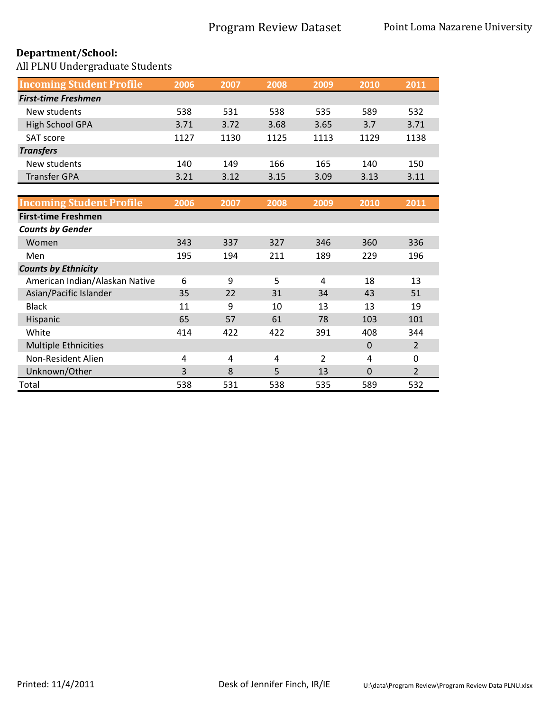All PLNU Undergraduate Students

| <b>Incoming Student Profile</b> | 2006 | 2007 | 2008 | 2009 | 2010 | 2011 |
|---------------------------------|------|------|------|------|------|------|
| <b>First-time Freshmen</b>      |      |      |      |      |      |      |
| New students                    | 538  | 531  | 538  | 535  | 589  | 532  |
| <b>High School GPA</b>          | 3.71 | 3.72 | 3.68 | 3.65 | 3.7  | 3.71 |
| <b>SAT score</b>                | 1127 | 1130 | 1125 | 1113 | 1129 | 1138 |
| <b>Transfers</b>                |      |      |      |      |      |      |
| New students                    | 140  | 149  | 166  | 165  | 140  | 150  |
| <b>Transfer GPA</b>             | 3.21 | 3.12 | 3.15 | 3.09 | 3.13 | 3.11 |

| <b>Incoming Student Profile</b> | 2006 | 2007 | 2008 | 2009 | 2010        | 2011           |
|---------------------------------|------|------|------|------|-------------|----------------|
| <b>First-time Freshmen</b>      |      |      |      |      |             |                |
| <b>Counts by Gender</b>         |      |      |      |      |             |                |
| Women                           | 343  | 337  | 327  | 346  | 360         | 336            |
| Men                             | 195  | 194  | 211  | 189  | 229         | 196            |
| <b>Counts by Ethnicity</b>      |      |      |      |      |             |                |
| American Indian/Alaskan Native  | 6    | 9    | 5    | 4    | 18          | 13             |
| Asian/Pacific Islander          | 35   | 22   | 31   | 34   | 43          | 51             |
| <b>Black</b>                    | 11   | 9    | 10   | 13   | 13          | 19             |
| Hispanic                        | 65   | 57   | 61   | 78   | 103         | 101            |
| White                           | 414  | 422  | 422  | 391  | 408         | 344            |
| <b>Multiple Ethnicities</b>     |      |      |      |      | $\mathbf 0$ | $\overline{2}$ |
| Non-Resident Alien              | 4    | 4    | 4    | 2    | 4           | $\mathbf{0}$   |
| Unknown/Other                   | 3    | 8    | 5    | 13   | 0           | $\overline{2}$ |
| Total                           | 538  | 531  | 538  | 535  | 589         | 532            |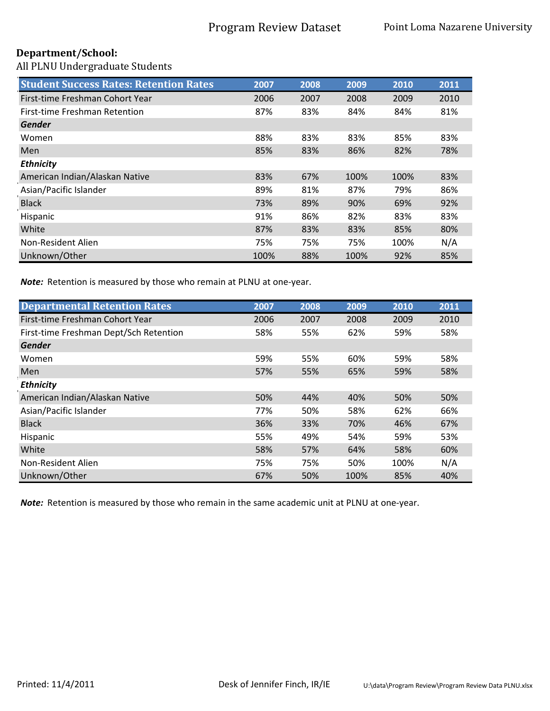All PLNU Undergraduate Students

| <b>Student Success Rates: Retention Rates</b> | 2007 | 2008 | 2009 | 2010 | 2011 |
|-----------------------------------------------|------|------|------|------|------|
| First-time Freshman Cohort Year               | 2006 | 2007 | 2008 | 2009 | 2010 |
| First-time Freshman Retention                 | 87%  | 83%  | 84%  | 84%  | 81%  |
| <b>Gender</b>                                 |      |      |      |      |      |
| Women                                         | 88%  | 83%  | 83%  | 85%  | 83%  |
| <b>Men</b>                                    | 85%  | 83%  | 86%  | 82%  | 78%  |
| <b>Ethnicity</b>                              |      |      |      |      |      |
| American Indian/Alaskan Native                | 83%  | 67%  | 100% | 100% | 83%  |
| Asian/Pacific Islander                        | 89%  | 81%  | 87%  | 79%  | 86%  |
| <b>Black</b>                                  | 73%  | 89%  | 90%  | 69%  | 92%  |
| Hispanic                                      | 91%  | 86%  | 82%  | 83%  | 83%  |
| White                                         | 87%  | 83%  | 83%  | 85%  | 80%  |
| Non-Resident Alien                            | 75%  | 75%  | 75%  | 100% | N/A  |
| Unknown/Other                                 | 100% | 88%  | 100% | 92%  | 85%  |

*Note:* Retention is measured by those who remain at PLNU at one-year.

| <b>Departmental Retention Rates</b>    | 2007 | 2008 | 2009 | 2010 | 2011 |
|----------------------------------------|------|------|------|------|------|
| First-time Freshman Cohort Year        | 2006 | 2007 | 2008 | 2009 | 2010 |
| First-time Freshman Dept/Sch Retention | 58%  | 55%  | 62%  | 59%  | 58%  |
| <b>Gender</b>                          |      |      |      |      |      |
| Women                                  | 59%  | 55%  | 60%  | 59%  | 58%  |
| Men                                    | 57%  | 55%  | 65%  | 59%  | 58%  |
| <b>Ethnicity</b>                       |      |      |      |      |      |
| American Indian/Alaskan Native         | 50%  | 44%  | 40%  | 50%  | 50%  |
| Asian/Pacific Islander                 | 77%  | 50%  | 58%  | 62%  | 66%  |
| <b>Black</b>                           | 36%  | 33%  | 70%  | 46%  | 67%  |
| Hispanic                               | 55%  | 49%  | 54%  | 59%  | 53%  |
| White                                  | 58%  | 57%  | 64%  | 58%  | 60%  |
| Non-Resident Alien                     | 75%  | 75%  | 50%  | 100% | N/A  |
| Unknown/Other                          | 67%  | 50%  | 100% | 85%  | 40%  |

*Note:* Retention is measured by those who remain in the same academic unit at PLNU at one-year.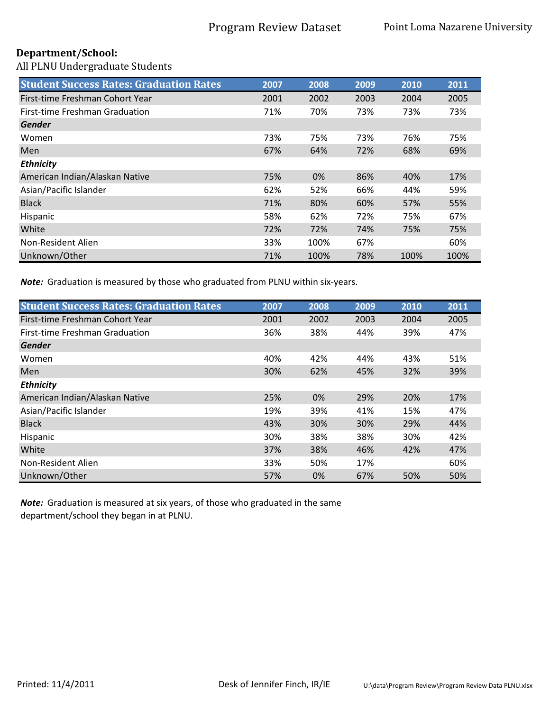All PLNU Undergraduate Students

| <b>Student Success Rates: Graduation Rates</b> | 2007 | 2008  | 2009 | 2010 | 2011 |
|------------------------------------------------|------|-------|------|------|------|
| First-time Freshman Cohort Year                | 2001 | 2002  | 2003 | 2004 | 2005 |
| First-time Freshman Graduation                 | 71%  | 70%   | 73%  | 73%  | 73%  |
| Gender                                         |      |       |      |      |      |
| Women                                          | 73%  | 75%   | 73%  | 76%  | 75%  |
| Men                                            | 67%  | 64%   | 72%  | 68%  | 69%  |
| <b>Ethnicity</b>                               |      |       |      |      |      |
| American Indian/Alaskan Native                 | 75%  | $0\%$ | 86%  | 40%  | 17%  |
| Asian/Pacific Islander                         | 62%  | 52%   | 66%  | 44%  | 59%  |
| <b>Black</b>                                   | 71%  | 80%   | 60%  | 57%  | 55%  |
| Hispanic                                       | 58%  | 62%   | 72%  | 75%  | 67%  |
| White                                          | 72%  | 72%   | 74%  | 75%  | 75%  |
| Non-Resident Alien                             | 33%  | 100%  | 67%  |      | 60%  |
| Unknown/Other                                  | 71%  | 100%  | 78%  | 100% | 100% |

*Note:* Graduation is measured by those who graduated from PLNU within six-years.

| <b>Student Success Rates: Graduation Rates</b> | 2007 | 2008 | 2009 | 2010 | 2011 |
|------------------------------------------------|------|------|------|------|------|
| First-time Freshman Cohort Year                | 2001 | 2002 | 2003 | 2004 | 2005 |
| <b>First-time Freshman Graduation</b>          | 36%  | 38%  | 44%  | 39%  | 47%  |
| <b>Gender</b>                                  |      |      |      |      |      |
| Women                                          | 40%  | 42%  | 44%  | 43%  | 51%  |
| Men                                            | 30%  | 62%  | 45%  | 32%  | 39%  |
| <b>Ethnicity</b>                               |      |      |      |      |      |
| American Indian/Alaskan Native                 | 25%  | 0%   | 29%  | 20%  | 17%  |
| Asian/Pacific Islander                         | 19%  | 39%  | 41%  | 15%  | 47%  |
| <b>Black</b>                                   | 43%  | 30%  | 30%  | 29%  | 44%  |
| Hispanic                                       | 30%  | 38%  | 38%  | 30%  | 42%  |
| White                                          | 37%  | 38%  | 46%  | 42%  | 47%  |
| Non-Resident Alien                             | 33%  | 50%  | 17%  |      | 60%  |
| Unknown/Other                                  | 57%  | 0%   | 67%  | 50%  | 50%  |

*Note:* Graduation is measured at six years, of those who graduated in the same department/school they began in at PLNU.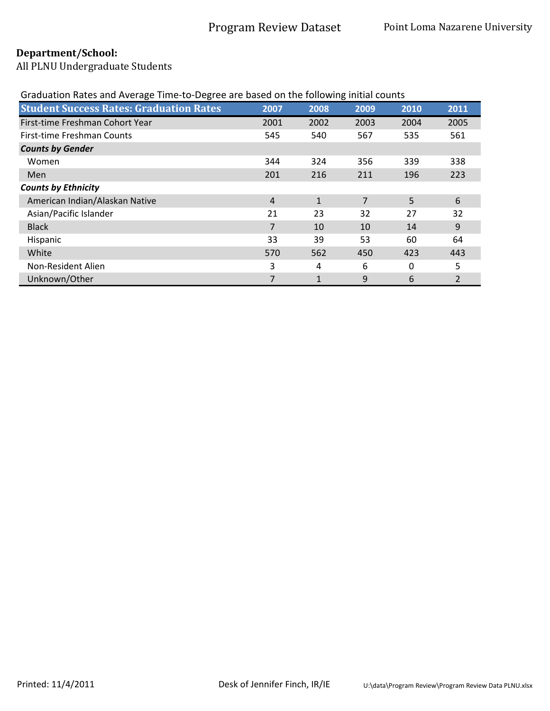All PLNU Undergraduate Students

# Graduation Rates and Average Time-to-Degree are based on the following initial counts

| <b>Student Success Rates: Graduation Rates</b> | 2007 | 2008         | 2009 | 2010     | 2011 |
|------------------------------------------------|------|--------------|------|----------|------|
| First-time Freshman Cohort Year                | 2001 | 2002         | 2003 | 2004     | 2005 |
| First-time Freshman Counts                     | 545  | 540          | 567  | 535      | 561  |
| <b>Counts by Gender</b>                        |      |              |      |          |      |
| Women                                          | 344  | 324          | 356  | 339      | 338  |
| <b>Men</b>                                     | 201  | 216          | 211  | 196      | 223  |
| <b>Counts by Ethnicity</b>                     |      |              |      |          |      |
| American Indian/Alaskan Native                 | 4    | $\mathbf{1}$ | 7    | 5        | 6    |
| Asian/Pacific Islander                         | 21   | 23           | 32   | 27       | 32   |
| <b>Black</b>                                   | 7    | 10           | 10   | 14       | 9    |
| Hispanic                                       | 33   | 39           | 53   | 60       | 64   |
| White                                          | 570  | 562          | 450  | 423      | 443  |
| Non-Resident Alien                             | 3    | 4            | 6    | $\Omega$ | 5    |
| Unknown/Other                                  |      | 1            | 9    | 6        |      |